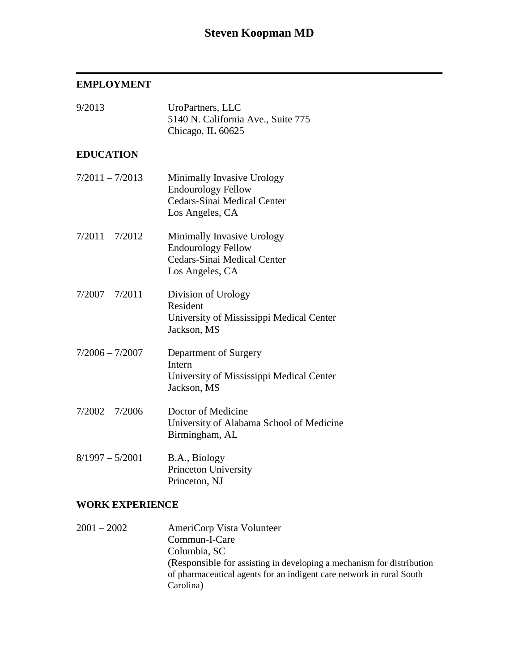# **EMPLOYMENT**

| 9/2013            | UroPartners, LLC<br>5140 N. California Ave., Suite 775<br>Chicago, IL 60625                               |
|-------------------|-----------------------------------------------------------------------------------------------------------|
| <b>EDUCATION</b>  |                                                                                                           |
| $7/2011 - 7/2013$ | Minimally Invasive Urology<br><b>Endourology Fellow</b><br>Cedars-Sinai Medical Center<br>Los Angeles, CA |
| $7/2011 - 7/2012$ | Minimally Invasive Urology<br><b>Endourology Fellow</b><br>Cedars-Sinai Medical Center<br>Los Angeles, CA |
| $7/2007 - 7/2011$ | Division of Urology<br>Resident<br>University of Mississippi Medical Center<br>Jackson, MS                |
| $7/2006 - 7/2007$ | Department of Surgery<br>Intern<br>University of Mississippi Medical Center<br>Jackson, MS                |
| $7/2002 - 7/2006$ | Doctor of Medicine<br>University of Alabama School of Medicine<br>Birmingham, AL                          |
| $8/1997 - 5/2001$ | B.A., Biology<br>Princeton University<br>Princeton, NJ                                                    |

# **WORK EXPERIENCE**

2001 – 2002 AmeriCorp Vista Volunteer Commun-I-Care Columbia, SC (Responsible for assisting in developing a mechanism for distribution of pharmaceutical agents for an indigent care network in rural South Carolina)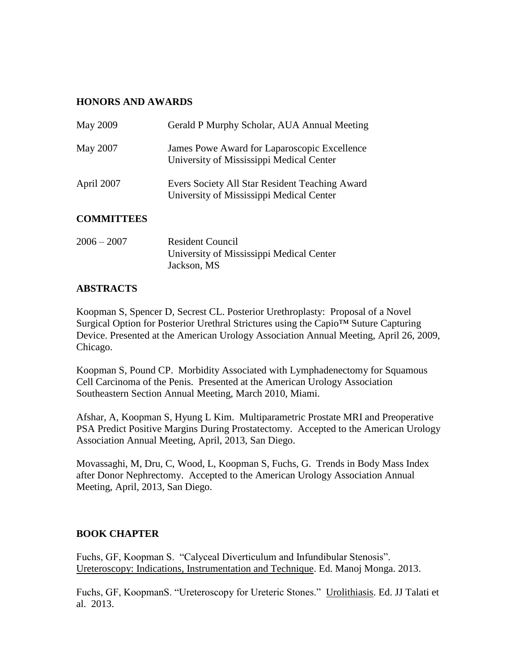### **HONORS AND AWARDS**

| May 2009   | Gerald P Murphy Scholar, AUA Annual Meeting                                                |
|------------|--------------------------------------------------------------------------------------------|
| May 2007   | James Powe Award for Laparoscopic Excellence<br>University of Mississippi Medical Center   |
| April 2007 | Evers Society All Star Resident Teaching Award<br>University of Mississippi Medical Center |

### **COMMITTEES**

| $2006 - 2007$ | <b>Resident Council</b>                  |
|---------------|------------------------------------------|
|               | University of Mississippi Medical Center |
|               | Jackson, MS                              |

### **ABSTRACTS**

Koopman S, Spencer D, Secrest CL. Posterior Urethroplasty: Proposal of a Novel Surgical Option for Posterior Urethral Strictures using the Capio™ Suture Capturing Device. Presented at the American Urology Association Annual Meeting, April 26, 2009, Chicago.

Koopman S, Pound CP. Morbidity Associated with Lymphadenectomy for Squamous Cell Carcinoma of the Penis. Presented at the American Urology Association Southeastern Section Annual Meeting, March 2010, Miami.

Afshar, A, Koopman S, Hyung L Kim. Multiparametric Prostate MRI and Preoperative PSA Predict Positive Margins During Prostatectomy. Accepted to the American Urology Association Annual Meeting, April, 2013, San Diego.

Movassaghi, M, Dru, C, Wood, L, Koopman S, Fuchs, G. Trends in Body Mass Index after Donor Nephrectomy. Accepted to the American Urology Association Annual Meeting, April, 2013, San Diego.

#### **BOOK CHAPTER**

Fuchs, GF, Koopman S. "Calyceal Diverticulum and Infundibular Stenosis". Ureteroscopy: Indications, Instrumentation and Technique. Ed. Manoj Monga. 2013.

Fuchs, GF, KoopmanS. "Ureteroscopy for Ureteric Stones." Urolithiasis. Ed. JJ Talati et al. 2013.